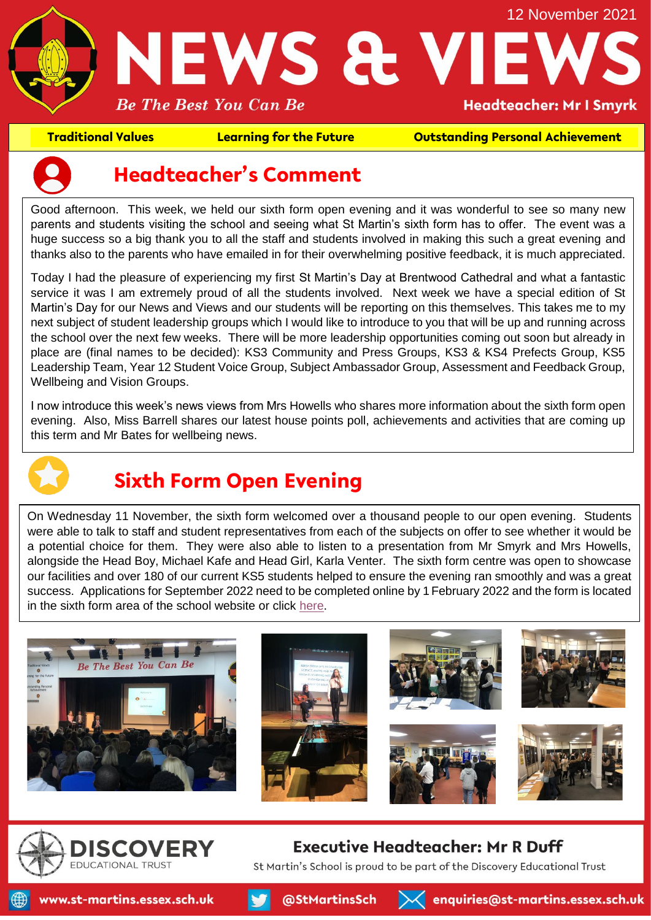

**Traditional Values Learning for the Future Outstanding Personal Achievement**



### **Headteacher's Comment**

Good afternoon. This week, we held our sixth form open evening and it was wonderful to see so many new parents and students visiting the school and seeing what St Martin's sixth form has to offer. The event was a huge success so a big thank you to all the staff and students involved in making this such a great evening and thanks also to the parents who have emailed in for their overwhelming positive feedback, it is much appreciated.

Today I had the pleasure of experiencing my first St Martin's Day at Brentwood Cathedral and what a fantastic service it was I am extremely proud of all the students involved. Next week we have a special edition of St Martin's Day for our News and Views and our students will be reporting on this themselves. This takes me to my next subject of student leadership groups which I would like to introduce to you that will be up and running across the school over the next few weeks. There will be more leadership opportunities coming out soon but already in place are (final names to be decided): KS3 Community and Press Groups, KS3 & KS4 Prefects Group, KS5 Leadership Team, Year 12 Student Voice Group, Subject Ambassador Group, Assessment and Feedback Group, Wellbeing and Vision Groups.

I now introduce this week's news views from Mrs Howells who shares more information about the sixth form open evening. Also, Miss Barrell shares our latest house points poll, achievements and activities that are coming up this term and Mr Bates for wellbeing news.



# **Sixth Form Open Evening**

On Wednesday 11 November, the sixth form welcomed over a thousand people to our open evening. Students were able to talk to staff and student representatives from each of the subjects on offer to see whether it would be a potential choice for them. They were also able to listen to a presentation from Mr Smyrk and Mrs Howells, alongside the Head Boy, Michael Kafe and Head Girl, Karla Venter. The sixth form centre was open to showcase our facilities and over 180 of our current KS5 students helped to ensure the evening ran smoothly and was a great success. Applications for September 2022 need to be completed online by 1February 2022 and the form is located in the sixth form area of the school website or click [here.](https://www.st-martins.essex.sch.uk/applicationform)





#### **Executive Headteacher: Mr R Duff**

St Martin's School is proud to be part of the Discovery Educational Trust